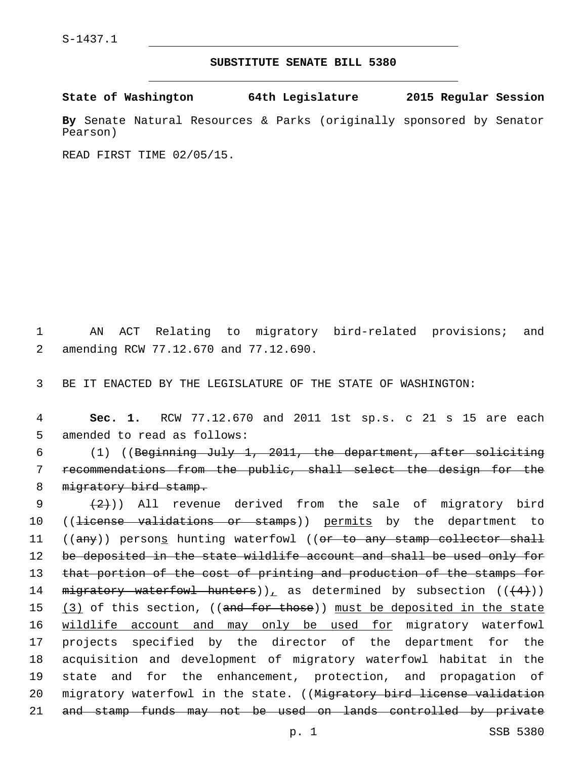## **SUBSTITUTE SENATE BILL 5380**

**State of Washington 64th Legislature 2015 Regular Session**

**By** Senate Natural Resources & Parks (originally sponsored by Senator Pearson)

READ FIRST TIME 02/05/15.

1 AN ACT Relating to migratory bird-related provisions; and amending RCW 77.12.670 and 77.12.690.2

3 BE IT ENACTED BY THE LEGISLATURE OF THE STATE OF WASHINGTON:

4 **Sec. 1.** RCW 77.12.670 and 2011 1st sp.s. c 21 s 15 are each 5 amended to read as follows:

6 (1) ((Beginning July 1, 2011, the department, after soliciting 7 recommendations from the public, shall select the design for the 8 migratory bird stamp.

9  $(2)$ ) All revenue derived from the sale of migratory bird 10 ((license validations or stamps)) permits by the department to 11 ((any)) persons hunting waterfowl ((or to any stamp collector shall 12 be deposited in the state wildlife account and shall be used only for 13 that portion of the cost of printing and production of the stamps for 14 migratory waterfowl hunters)), as determined by subsection  $((+4))$ 15 (3) of this section, ((and for those)) must be deposited in the state 16 wildlife account and may only be used for migratory waterfowl 17 projects specified by the director of the department for the 18 acquisition and development of migratory waterfowl habitat in the 19 state and for the enhancement, protection, and propagation of 20 migratory waterfowl in the state. ((Migratory bird license validation 21 and stamp funds may not be used on lands controlled by private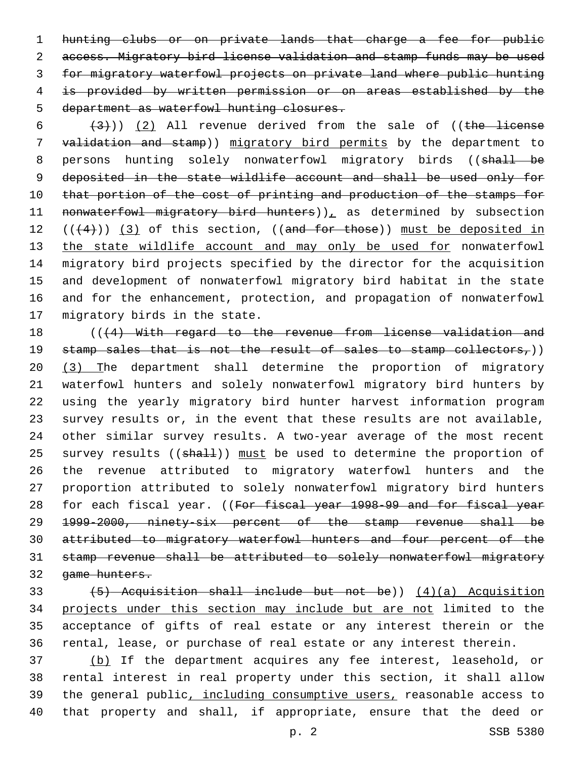hunting clubs or on private lands that charge a fee for public access. Migratory bird license validation and stamp funds may be used for migratory waterfowl projects on private land where public hunting is provided by written permission or on areas established by the 5 department as waterfowl hunting closures.

 $(3)$ ) (2) All revenue derived from the sale of ((the license validation and stamp)) migratory bird permits by the department to 8 persons hunting solely nonwaterfowl migratory birds ((shall be deposited in the state wildlife account and shall be used only for 10 that portion of the cost of printing and production of the stamps for 11 nonwaterfowl migratory bird hunters)), as determined by subsection 12  $((+4))$   $(3)$  of this section,  $((and for those))$  must be deposited in 13 the state wildlife account and may only be used for nonwaterfowl migratory bird projects specified by the director for the acquisition and development of nonwaterfowl migratory bird habitat in the state and for the enhancement, protection, and propagation of nonwaterfowl 17 migratory birds in the state.

18 (((4) With regard to the revenue from license validation and 19 stamp sales that is not the result of sales to stamp collectors,)) (3) The department shall determine the proportion of migratory waterfowl hunters and solely nonwaterfowl migratory bird hunters by using the yearly migratory bird hunter harvest information program survey results or, in the event that these results are not available, other similar survey results. A two-year average of the most recent 25 survey results ((shall)) must be used to determine the proportion of the revenue attributed to migratory waterfowl hunters and the proportion attributed to solely nonwaterfowl migratory bird hunters 28 for each fiscal year. ((For fiscal year 1998-99 and for fiscal year 1999-2000, ninety-six percent of the stamp revenue shall be attributed to migratory waterfowl hunters and four percent of the stamp revenue shall be attributed to solely nonwaterfowl migratory game hunters.

 (5) Acquisition shall include but not be)) (4)(a) Acquisition projects under this section may include but are not limited to the acceptance of gifts of real estate or any interest therein or the rental, lease, or purchase of real estate or any interest therein.

 (b) If the department acquires any fee interest, leasehold, or rental interest in real property under this section, it shall allow the general public, including consumptive users, reasonable access to that property and shall, if appropriate, ensure that the deed or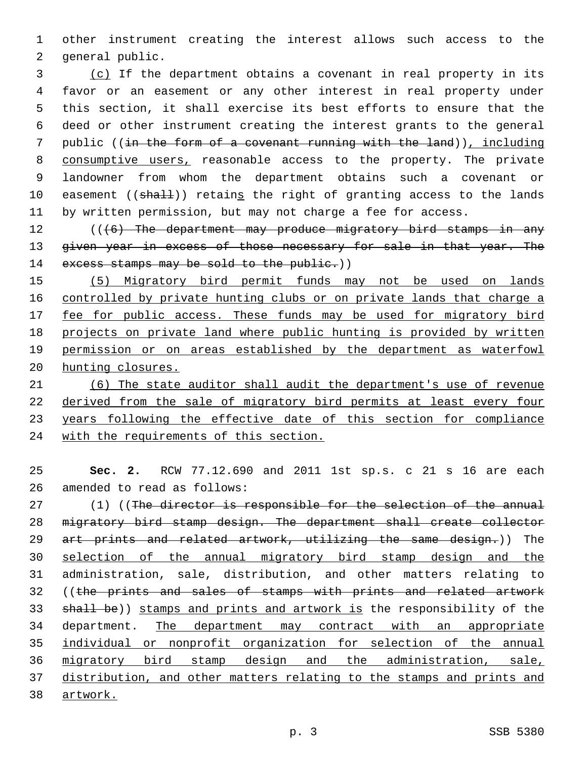other instrument creating the interest allows such access to the 2 general public.

 (c) If the department obtains a covenant in real property in its favor or an easement or any other interest in real property under this section, it shall exercise its best efforts to ensure that the deed or other instrument creating the interest grants to the general public ((in the form of a covenant running with the land)), including 8 consumptive users, reasonable access to the property. The private landowner from whom the department obtains such a covenant or 10 easement ((shall)) retains the right of granting access to the lands by written permission, but may not charge a fee for access.

12 (((6) The department may produce migratory bird stamps in any 13 given year in excess of those necessary for sale in that year. The 14 excess stamps may be sold to the public.))

 (5) Migratory bird permit funds may not be used on lands controlled by private hunting clubs or on private lands that charge a 17 fee for public access. These funds may be used for migratory bird projects on private land where public hunting is provided by written permission or on areas established by the department as waterfowl hunting closures.

 (6) The state auditor shall audit the department's use of revenue derived from the sale of migratory bird permits at least every four years following the effective date of this section for compliance with the requirements of this section.

 **Sec. 2.** RCW 77.12.690 and 2011 1st sp.s. c 21 s 16 are each 26 amended to read as follows:

27 (1) ((The director is responsible for the selection of the annual migratory bird stamp design. The department shall create collector 29 art prints and related artwork, utilizing the same design.)) The 30 selection of the annual migratory bird stamp design and the administration, sale, distribution, and other matters relating to 32 ((the prints and sales of stamps with prints and related artwork 33 shall be)) stamps and prints and artwork is the responsibility of the department. The department may contract with an appropriate individual or nonprofit organization for selection of the annual migratory bird stamp design and the administration, sale, distribution, and other matters relating to the stamps and prints and artwork.